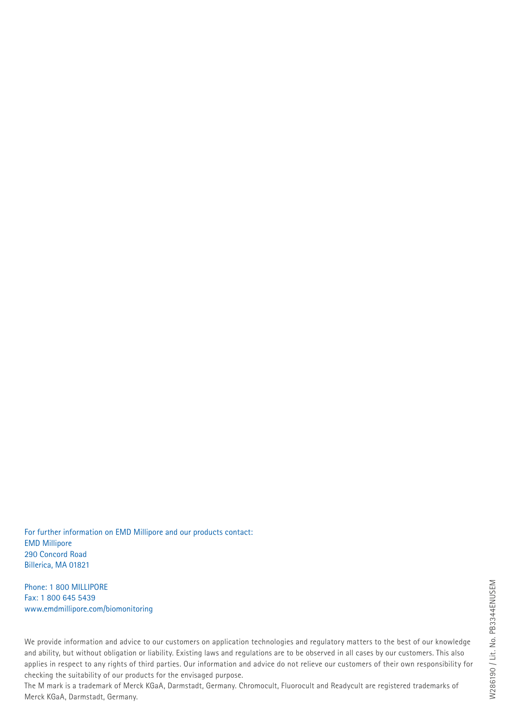For further information on EMD Millipore and our products contact: EMD Millipore 290 Concord Road Billerica, MA 01821

Phone: 1 800 MILLIPORE Fax: 1 800 645 5439 www.emdmillipore.com/biomonitoring

We provide information and advice to our customers on application technologies and regulatory matters to the best of our knowledge and ability, but without obligation or liability. Existing laws and regulations are to be observed in all cases by our customers. This also applies in respect to any rights of third parties. Our information and advice do not relieve our customers of their own responsibility for checking the suitability of our products for the envisaged purpose.

The M mark is a trademark of Merck KGaA, Darmstadt, Germany. Chromocult, Fluorocult and Readycult are registered trademarks of Merck KGaA, Darmstadt, Germany.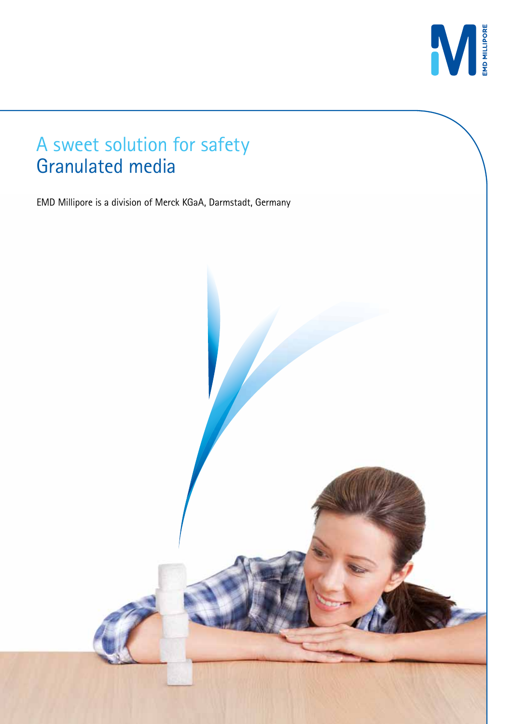

#### A sweet solution for safety Granulated media

EMD Millipore is a division of Merck KGaA, Darmstadt, Germany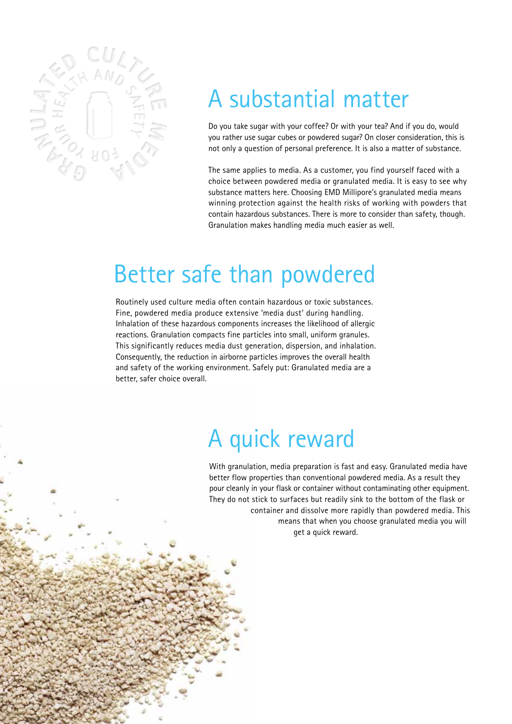

## A substantial matter

Do you take sugar with your coffee? Or with your tea? And if you do, would you rather use sugar cubes or powdered sugar? On closer consideration, this is not only a question of personal preference. It is also a matter of substance.

The same applies to media. As a customer, you find yourself faced with a choice between powdered media or granulated media. It is easy to see why substance matters here. Choosing EMD Millipore's granulated media means winning protection against the health risks of working with powders that contain hazardous substances. There is more to consider than safety, though. Granulation makes handling media much easier as well.

#### Better safe than powdered

Routinely used culture media often contain hazardous or toxic substances. Fine, powdered media produce extensive 'media dust' during handling. Inhalation of these hazardous components increases the likelihood of allergic reactions. Granulation compacts fine particles into small, uniform granules. This significantly reduces media dust generation, dispersion, and inhalation. Consequently, the reduction in airborne particles improves the overall health and safety of the working environment. Safely put: Granulated media are a better, safer choice overall.

### A quick reward

With granulation, media preparation is fast and easy. Granulated media have better flow properties than conventional powdered media. As a result they pour cleanly in your flask or container without contaminating other equipment. They do not stick to surfaces but readily sink to the bottom of the flask or container and dissolve more rapidly than powdered media. This means that when you choose granulated media you will get a quick reward.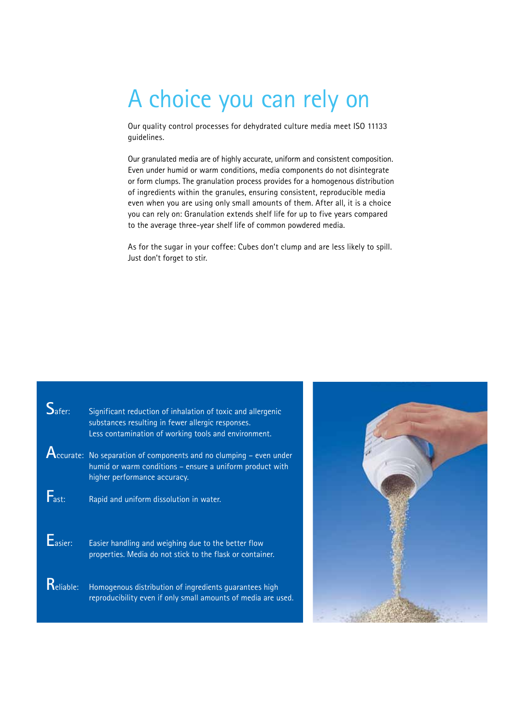# A choice you can rely on

Our quality control processes for dehydrated culture media meet ISO 11133 guidelines.

Our granulated media are of highly accurate, uniform and consistent composition. Even under humid or warm conditions, media components do not disintegrate or form clumps. The granulation process provides for a homogenous distribution of ingredients within the granules, ensuring consistent, reproducible media even when you are using only small amounts of them. After all, it is a choice you can rely on: Granulation extends shelf life for up to five years compared to the average three-year shelf life of common powdered media.

As for the sugar in your coffee: Cubes don't clump and are less likely to spill. Just don't forget to stir.

| $S_{\text{after}}$ | Significant reduction of inhalation of toxic and allergenic<br>substances resulting in fewer allergic responses.<br>Less contamination of working tools and environment.                    |
|--------------------|---------------------------------------------------------------------------------------------------------------------------------------------------------------------------------------------|
|                    | ${\color{red}A_{\color{red}ccurate:}}$ No separation of components and no clumping – even under<br>humid or warm conditions - ensure a uniform product with<br>higher performance accuracy. |
| $F_{\text{ast}}$   | Rapid and uniform dissolution in water.                                                                                                                                                     |
| $E_{\text{asier}}$ | Easier handling and weighing due to the better flow<br>properties. Media do not stick to the flask or container.                                                                            |
| $R$ eliable:       | Homogenous distribution of ingredients guarantees high<br>reproducibility even if only small amounts of media are used.                                                                     |

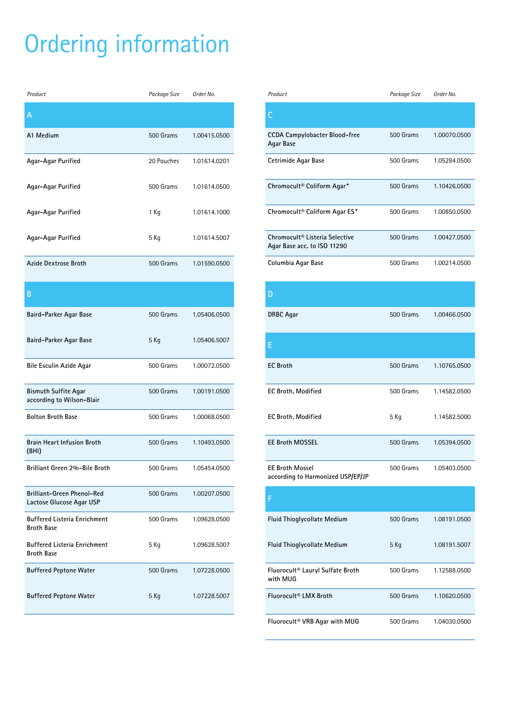# Ordering information

| Product                                                  | Package Size | Order No.    |
|----------------------------------------------------------|--------------|--------------|
| Α                                                        |              |              |
| A1 Medium                                                | 500 Grams    | 1.00415.0500 |
| Agar-Agar Purified                                       | 20 Pouches   | 1.01614.0201 |
| Agar-Agar Purified                                       | 500 Grams    | 1.01614.0500 |
| Agar-Agar Purified                                       | 1 Kg         | 1.01614.1000 |
| Agar-Agar Purified                                       | 5 Kg         | 1.01614.5007 |
| <b>Azide Dextrose Broth</b>                              | 500 Grams    | 1.01590.0500 |
| В                                                        |              |              |
| Baird-Parker Agar Base                                   | 500 Grams    | 1.05406.0500 |
| Baird-Parker Agar Base                                   | 5 Kg         | 1.05406.5007 |
| Bile Esculin Azide Agar                                  | 500 Grams    | 1.00072.0500 |
| <b>Bismuth Sulfite Agar</b><br>according to Wilson-Blair | 500 Grams    | 1.00191.0500 |
| <b>Bolton Broth Base</b>                                 | 500 Grams    | 1.00068.0500 |
| <b>Brain Heart Infusion Broth</b><br>(BHI)               | 500 Grams    | 1.10493.0500 |
| Brilliant Green 2%-Bile Broth                            | 500 Grams    | 1.05454.0500 |
| Brilliant-Green Phenol-Red<br>Lactose Glucose Agar USP   | 500 Grams    | 1.00207.0500 |
| <b>Buffered Listeria Enrichment</b><br><b>Broth Base</b> | 500 Grams    | 1.09628.0500 |
| <b>Buffered Listeria Enrichment</b><br><b>Broth Base</b> | 5 Kg         | 1.09628.5007 |
| <b>Buffered Peptone Water</b>                            | 500 Grams    | 1.07228.0500 |
| <b>Buffered Peptone Water</b>                            | 5 Kg         | 1.07228.5007 |

| Product                                                       | Package Size | Order No.    |
|---------------------------------------------------------------|--------------|--------------|
|                                                               |              |              |
| <b>CCDA Campylobacter Blood-free</b><br>Agar Base             | 500 Grams    | 1.00070.0500 |
| Cetrimide Agar Base                                           | 500 Grams    | 1.05284.0500 |
| Chromocult® Coliform Agar*                                    | 500 Grams    | 1.10426.0500 |
| Chromocult® Coliform Agar ES*                                 | 500 Grams    | 1.00850.0500 |
| Chromocult® Listeria Selective<br>Agar Base acc. to ISO 11290 | 500 Grams    | 1.00427.0500 |
| Columbia Agar Base                                            | 500 Grams    | 1.00214.0500 |

| D                                                           |             |              |
|-------------------------------------------------------------|-------------|--------------|
| <b>DRBC</b> Agar                                            | 500 Grams   | 1.00466.0500 |
| E                                                           |             |              |
| <b>EC Broth</b>                                             | $500$ Grams | 1.10765.0500 |
| <b>EC Broth, Modified</b>                                   | 500 Grams   | 1.14582.0500 |
| <b>EC Broth, Modified</b>                                   | 5 Kg        | 1.14582.5000 |
| <b>EE Broth MOSSEL</b>                                      | 500 Grams   | 1.05394.0500 |
| <b>EE Broth Mossel</b><br>according to Harmonized USP/EP/JP | 500 Grams   | 1.05403.0500 |

| <b>Fluid Thioglycollate Medium</b>           | 500 Grams   | 1.08191.0500 |
|----------------------------------------------|-------------|--------------|
| <b>Fluid Thioglycollate Medium</b>           | 5 Kg        | 1.08191.5007 |
| Fluorocult® Lauryl Sulfate Broth<br>with MUG | 500 Grams   | 1.12588.0500 |
| Fluorocult <sup>®</sup> I MX Broth           | $500$ Grams | 1.10620.0500 |
| Fluorocult <sup>®</sup> VRB Agar with MUG    | 500 Grams   | 1.04030.0500 |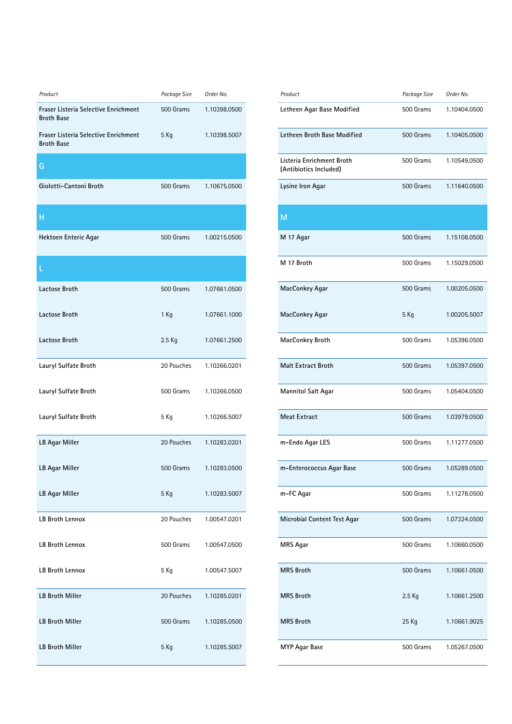| Product                                                   | Package Size | Order No.    |
|-----------------------------------------------------------|--------------|--------------|
| Fraser Listeria Selective Enrichment<br><b>Broth Base</b> | 500 Grams    | 1.10398.0500 |
| Fraser Listeria Selective Enrichment<br><b>Broth Base</b> | 5 Kg         | 1.10398.5007 |
| G                                                         |              |              |
| Giolotti-Cantoni Broth                                    | 500 Grams    | 1.10675.0500 |
| Н                                                         |              |              |
| Hektoen Enteric Agar                                      | 500 Grams    | 1.00215.0500 |
| L                                                         |              |              |
| Lactose Broth                                             | 500 Grams    | 1.07661.0500 |
| Lactose Broth                                             | $1$ Kg       | 1.07661.1000 |
| Lactose Broth                                             | 2.5 Kg       | 1.07661.2500 |
| Lauryl Sulfate Broth                                      | 20 Pouches   | 1.10266.0201 |
| Lauryl Sulfate Broth                                      | 500 Grams    | 1.10266.0500 |
| Lauryl Sulfate Broth                                      | 5 Kg         | 1.10266.5007 |
| LB Agar Miller                                            | 20 Pouches   | 1.10283.0201 |
| LB Agar Miller                                            | 500 Grams    | 1.10283.0500 |
| LB Agar Miller                                            | 5 Kg         | 1.10283.5007 |
| LB Broth Lennox                                           | 20 Pouches   | 1.00547.0201 |
| LB Broth Lennox                                           | 500 Grams    | 1.00547.0500 |
| LB Broth Lennox                                           | 5 Kg         | 1.00547.5007 |
| <b>LB Broth Miller</b>                                    | 20 Pouches   | 1.10285.0201 |
| <b>LB Broth Miller</b>                                    | 500 Grams    | 1.10285.0500 |
| <b>LB Broth Miller</b>                                    | 5 Kg         | 1.10285.5007 |

| Product                                             | Package Size | Order No.    |
|-----------------------------------------------------|--------------|--------------|
| Letheen Agar Base Modified                          | 500 Grams    | 1.10404.0500 |
| Letheen Broth Base Modified                         | 500 Grams    | 1.10405.0500 |
| Listeria Enrichment Broth<br>(Antibiotics Included) | 500 Grams    | 1.10549.0500 |
| Lysine Iron Agar                                    | 500 Grams    | 1.11640.0500 |
| M                                                   |              |              |
| M 17 Agar                                           | 500 Grams    | 1.15108.0500 |
| M 17 Broth                                          | 500 Grams    | 1.15029.0500 |
| MacConkey Agar                                      | 500 Grams    | 1.00205.0500 |
| MacConkey Agar                                      | 5 Kg         | 1.00205.5007 |
| MacConkey Broth                                     | 500 Grams    | 1.05396.0500 |
| <b>Malt Extract Broth</b>                           | 500 Grams    | 1.05397.0500 |
| <b>Mannitol Salt Agar</b>                           | 500 Grams    | 1.05404.0500 |
| <b>Meat Extract</b>                                 | 500 Grams    | 1.03979.0500 |
| m-Endo Agar LES                                     | 500 Grams    | 1.11277.0500 |
| m-Enterococcus Agar Base                            | 500 Grams    | 1.05289.0500 |
| m-FC Agar                                           | 500 Grams    | 1.11278.0500 |
| Microbial Content Test Agar                         | 500 Grams    | 1.07324.0500 |
| MRS Agar                                            | 500 Grams    | 1.10660.0500 |
| <b>MRS Broth</b>                                    | 500 Grams    | 1.10661.0500 |
| <b>MRS Broth</b>                                    | 2.5 Kg       | 1.10661.2500 |
| <b>MRS Broth</b>                                    | 25 Kg        | 1.10661.9025 |
| <b>MYP Agar Base</b>                                | 500 Grams    | 1.05267.0500 |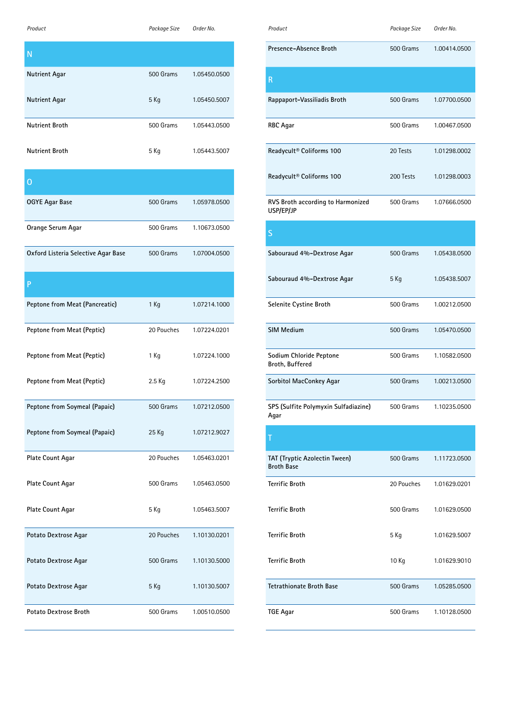| Product                             | Package Size | Order No.    |
|-------------------------------------|--------------|--------------|
| N                                   |              |              |
| Nutrient Agar                       | 500 Grams    | 1.05450.0500 |
| Nutrient Agar                       | 5 Kg         | 1.05450.5007 |
| <b>Nutrient Broth</b>               | 500 Grams    | 1.05443.0500 |
| <b>Nutrient Broth</b>               | 5 Kg         | 1.05443.5007 |
| 0                                   |              |              |
| OGYE Agar Base                      | 500 Grams    | 1.05978.0500 |
| Orange Serum Agar                   | 500 Grams    | 1.10673.0500 |
| Oxford Listeria Selective Agar Base | 500 Grams    | 1.07004.0500 |
| P                                   |              |              |
| Peptone from Meat (Pancreatic)      | 1 Kg         | 1.07214.1000 |
| Peptone from Meat (Peptic)          | 20 Pouches   | 1.07224.0201 |
| Peptone from Meat (Peptic)          | 1 Kg         | 1.07224.1000 |
| Peptone from Meat (Peptic)          | 2.5 Kg       | 1.07224.2500 |
| Peptone from Soymeal (Papaic)       | 500 Grams    | 1.07212.0500 |
| Peptone from Soymeal (Papaic)       | 25 Kg        | 1.07212.9027 |
| Plate Count Agar                    | 20 Pouches   | 1.05463.0201 |
| Plate Count Agar                    | 500 Grams    | 1.05463.0500 |
| Plate Count Agar                    | 5 Kg         | 1.05463.5007 |
| Potato Dextrose Agar                | 20 Pouches   | 1.10130.0201 |
| Potato Dextrose Agar                | 500 Grams    | 1.10130.5000 |
| Potato Dextrose Agar                | 5 Kg         | 1.10130.5007 |
| Potato Dextrose Broth               | 500 Grams    | 1.00510.0500 |

| Product                                        | Package Size | Order No.    |
|------------------------------------------------|--------------|--------------|
| Presence-Absence Broth                         | 500 Grams    | 1.00414.0500 |
| R                                              |              |              |
| Rappaport-Vassiliadis Broth                    | 500 Grams    | 1.07700.0500 |
| <b>RBC</b> Agar                                | 500 Grams    | 1.00467.0500 |
| Readycult® Coliforms 100                       | 20 Tests     | 1.01298.0002 |
| Readycult <sup>®</sup> Coliforms 100           | 200 Tests    | 1.01298.0003 |
| RVS Broth according to Harmonized<br>USP/EP/JP | 500 Grams    | 1.07666.0500 |
| S                                              |              |              |
| Sabouraud 4%-Dextrose Agar                     | 500 Grams    | 1.05438.0500 |
| Sabouraud 4%-Dextrose Agar                     | 5 Kg         | 1.05438.5007 |
| Selenite Cystine Broth                         | 500 Grams    | 1.00212.0500 |
| <b>SIM Medium</b>                              | 500 Grams    | 1.05470.0500 |
| Sodium Chloride Peptone                        | 500 Grams    | 1.10582.0500 |

| Broth, Buffered                              |           |              |
|----------------------------------------------|-----------|--------------|
| Sorbitol MacConkey Agar                      | 500 Grams | 1.00213.0500 |
| SPS (Sulfite Polymyxin Sulfadiazine)<br>Agar | 500 Grams | 1.10235.0500 |

| T                                                  |            |              |
|----------------------------------------------------|------------|--------------|
| TAT (Tryptic Azolectin Tween)<br><b>Broth Base</b> | 500 Grams  | 1.11723.0500 |
| <b>Terrific Broth</b>                              | 20 Pouches | 1.01629.0201 |
| <b>Terrific Broth</b>                              | 500 Grams  | 1.01629.0500 |
| <b>Terrific Broth</b>                              | 5 Kg       | 1.01629.5007 |
| <b>Terrific Broth</b>                              | 10 Kg      | 1.01629.9010 |
| <b>Tetrathionate Broth Base</b>                    | 500 Grams  | 1.05285.0500 |
| TGE Agar                                           | 500 Grams  | 1.10128.0500 |